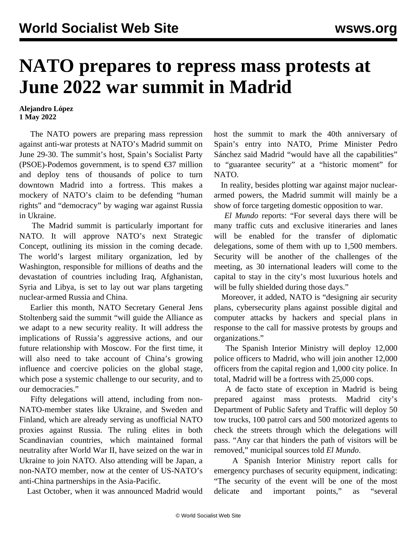## **NATO prepares to repress mass protests at June 2022 war summit in Madrid**

## **Alejandro López 1 May 2022**

 The NATO powers are preparing mass repression against anti-war protests at NATO's Madrid summit on June 29-30. The summit's host, Spain's Socialist Party (PSOE)-Podemos government, is to spend  $\epsilon$ 37 million and deploy tens of thousands of police to turn downtown Madrid into a fortress. This makes a mockery of NATO's claim to be defending "human rights" and "democracy" by waging war against Russia in Ukraine.

 The Madrid summit is particularly important for NATO. It will approve NATO's next Strategic Concept, outlining its mission in the coming decade. The world's largest military organization, led by Washington, responsible for millions of deaths and the devastation of countries including Iraq, Afghanistan, Syria and Libya, is set to lay out war plans targeting nuclear-armed Russia and China.

 Earlier this month, NATO Secretary General Jens Stoltenberg said the summit "will guide the Alliance as we adapt to a new security reality. It will address the implications of Russia's aggressive actions, and our future relationship with Moscow. For the first time, it will also need to take account of China's growing influence and coercive policies on the global stage, which pose a systemic challenge to our security, and to our democracies."

 Fifty delegations will attend, including from non-NATO-member states like Ukraine, and Sweden and Finland, which are already serving as unofficial NATO proxies against Russia. The ruling elites in both Scandinavian countries, which maintained formal neutrality after World War II, have seized on the war in Ukraine to join NATO. Also attending will be Japan, a non-NATO member, now at the center of US-NATO's anti-China partnerships in the Asia-Pacific.

Last October, when it was announced Madrid would

host the summit to mark the 40th anniversary of Spain's entry into NATO, Prime Minister Pedro Sánchez said Madrid "would have all the capabilities" to "guarantee security" at a "historic moment" for NATO.

 In reality, besides plotting war against major nucleararmed powers, the Madrid summit will mainly be a show of force targeting domestic opposition to war.

 *El Mundo* reports: "For several days there will be many traffic cuts and exclusive itineraries and lanes will be enabled for the transfer of diplomatic delegations, some of them with up to 1,500 members. Security will be another of the challenges of the meeting, as 30 international leaders will come to the capital to stay in the city's most luxurious hotels and will be fully shielded during those days."

 Moreover, it added, NATO is "designing air security plans, cybersecurity plans against possible digital and computer attacks by hackers and special plans in response to the call for massive protests by groups and organizations."

 The Spanish Interior Ministry will deploy 12,000 police officers to Madrid, who will join another 12,000 officers from the capital region and 1,000 city police. In total, Madrid will be a fortress with 25,000 cops.

 A de facto state of exception in Madrid is being prepared against mass protests. Madrid city's Department of Public Safety and Traffic will deploy 50 tow trucks, 100 patrol cars and 500 motorized agents to check the streets through which the delegations will pass. "Any car that hinders the path of visitors will be removed," municipal sources told *El Mundo*.

 A Spanish Interior Ministry report calls for emergency purchases of security equipment, indicating: "The security of the event will be one of the most delicate and important points," as "several